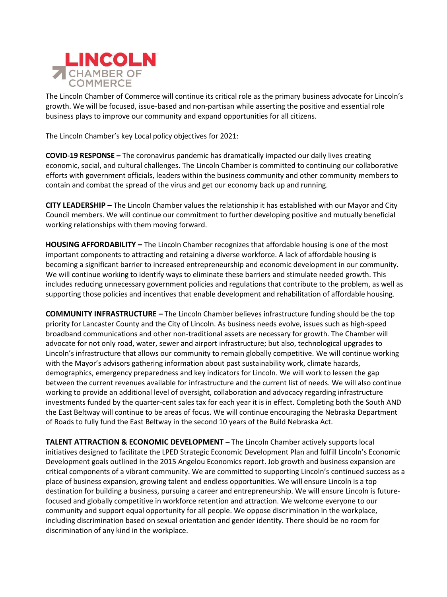

The Lincoln Chamber of Commerce will continue its critical role as the primary business advocate for Lincoln's growth. We will be focused, issue-based and non-partisan while asserting the positive and essential role business plays to improve our community and expand opportunities for all citizens.

The Lincoln Chamber's key Local policy objectives for 2021:

**COVID-19 RESPONSE –** The coronavirus pandemic has dramatically impacted our daily lives creating economic, social, and cultural challenges. The Lincoln Chamber is committed to continuing our collaborative efforts with government officials, leaders within the business community and other community members to contain and combat the spread of the virus and get our economy back up and running.

**CITY LEADERSHIP –** The Lincoln Chamber values the relationship it has established with our Mayor and City Council members. We will continue our commitment to further developing positive and mutually beneficial working relationships with them moving forward.

**HOUSING AFFORDABILITY –** The Lincoln Chamber recognizes that affordable housing is one of the most important components to attracting and retaining a diverse workforce. A lack of affordable housing is becoming a significant barrier to increased entrepreneurship and economic development in our community. We will continue working to identify ways to eliminate these barriers and stimulate needed growth. This includes reducing unnecessary government policies and regulations that contribute to the problem, as well as supporting those policies and incentives that enable development and rehabilitation of affordable housing.

**COMMUNITY INFRASTRUCTURE –** The Lincoln Chamber believes infrastructure funding should be the top priority for Lancaster County and the City of Lincoln. As business needs evolve, issues such as high-speed broadband communications and other non-traditional assets are necessary for growth. The Chamber will advocate for not only road, water, sewer and airport infrastructure; but also, technological upgrades to Lincoln's infrastructure that allows our community to remain globally competitive. We will continue working with the Mayor's advisors gathering information about past sustainability work, climate hazards, demographics, emergency preparedness and key indicators for Lincoln. We will work to lessen the gap between the current revenues available for infrastructure and the current list of needs. We will also continue working to provide an additional level of oversight, collaboration and advocacy regarding infrastructure investments funded by the quarter-cent sales tax for each year it is in effect. Completing both the South AND the East Beltway will continue to be areas of focus. We will continue encouraging the Nebraska Department of Roads to fully fund the East Beltway in the second 10 years of the Build Nebraska Act.

**TALENT ATTRACTION & ECONOMIC DEVELOPMENT –** The Lincoln Chamber actively supports local initiatives designed to facilitate the LPED Strategic Economic Development Plan and fulfill Lincoln's Economic Development goals outlined in the 2015 Angelou Economics report. Job growth and business expansion are critical components of a vibrant community. We are committed to supporting Lincoln's continued success as a place of business expansion, growing talent and endless opportunities. We will ensure Lincoln is a top destination for building a business, pursuing a career and entrepreneurship. We will ensure Lincoln is futurefocused and globally competitive in workforce retention and attraction. We welcome everyone to our community and support equal opportunity for all people. We oppose discrimination in the workplace, including discrimination based on sexual orientation and gender identity. There should be no room for discrimination of any kind in the workplace.